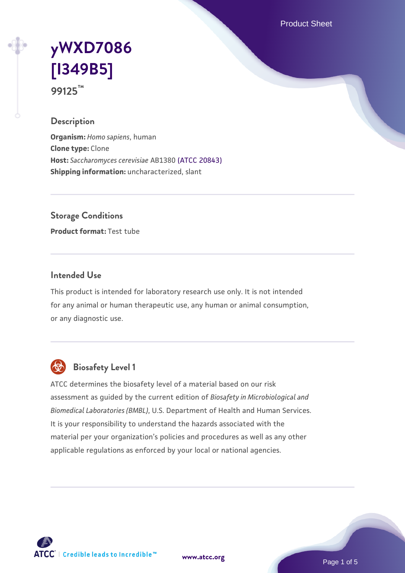Product Sheet

# **[yWXD7086](https://www.atcc.org/products/99125) [\[I349B5\]](https://www.atcc.org/products/99125) 99125™**

### **Description**

**Organism:** *Homo sapiens*, human **Clone type:** Clone **Host:** *Saccharomyces cerevisiae* AB1380 [\(ATCC 20843\)](https://www.atcc.org/products/20843) **Shipping information:** uncharacterized, slant

**Storage Conditions**

**Product format:** Test tube

### **Intended Use**

This product is intended for laboratory research use only. It is not intended for any animal or human therapeutic use, any human or animal consumption, or any diagnostic use.



## **Biosafety Level 1**

ATCC determines the biosafety level of a material based on our risk assessment as guided by the current edition of *Biosafety in Microbiological and Biomedical Laboratories (BMBL)*, U.S. Department of Health and Human Services. It is your responsibility to understand the hazards associated with the material per your organization's policies and procedures as well as any other applicable regulations as enforced by your local or national agencies.

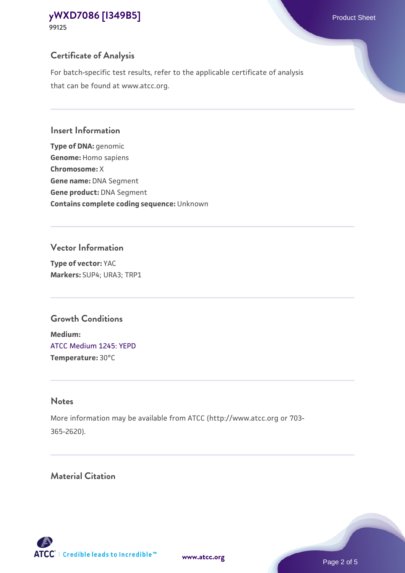For batch-specific test results, refer to the applicable certificate of analysis that can be found at www.atcc.org.

#### **Insert Information**

**Type of DNA:** genomic **Genome:** Homo sapiens **Chromosome:** X **Gene name:** DNA Segment **Gene product:** DNA Segment **Contains complete coding sequence:** Unknown

## **Vector Information**

**Type of vector:** YAC **Markers:** SUP4; URA3; TRP1

## **Growth Conditions**

**Medium:**  [ATCC Medium 1245: YEPD](https://www.atcc.org/-/media/product-assets/documents/microbial-media-formulations/1/2/4/5/atcc-medium-1245.pdf?rev=705ca55d1b6f490a808a965d5c072196) **Temperature:** 30°C

## **Notes**

More information may be available from ATCC (http://www.atcc.org or 703- 365-2620).

## **Material Citation**

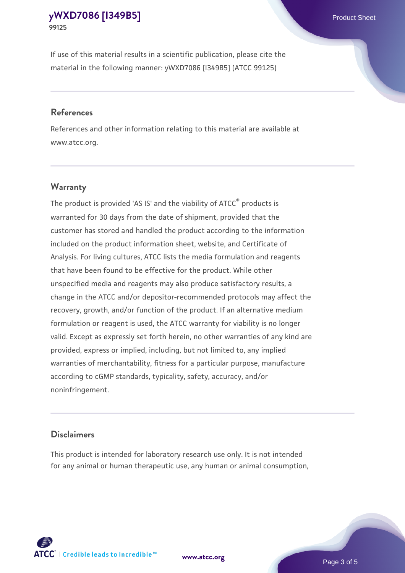If use of this material results in a scientific publication, please cite the material in the following manner: yWXD7086 [I349B5] (ATCC 99125)

#### **References**

References and other information relating to this material are available at www.atcc.org.

### **Warranty**

The product is provided 'AS IS' and the viability of  $ATCC<sup>®</sup>$  products is warranted for 30 days from the date of shipment, provided that the customer has stored and handled the product according to the information included on the product information sheet, website, and Certificate of Analysis. For living cultures, ATCC lists the media formulation and reagents that have been found to be effective for the product. While other unspecified media and reagents may also produce satisfactory results, a change in the ATCC and/or depositor-recommended protocols may affect the recovery, growth, and/or function of the product. If an alternative medium formulation or reagent is used, the ATCC warranty for viability is no longer valid. Except as expressly set forth herein, no other warranties of any kind are provided, express or implied, including, but not limited to, any implied warranties of merchantability, fitness for a particular purpose, manufacture according to cGMP standards, typicality, safety, accuracy, and/or noninfringement.

#### **Disclaimers**

This product is intended for laboratory research use only. It is not intended for any animal or human therapeutic use, any human or animal consumption,

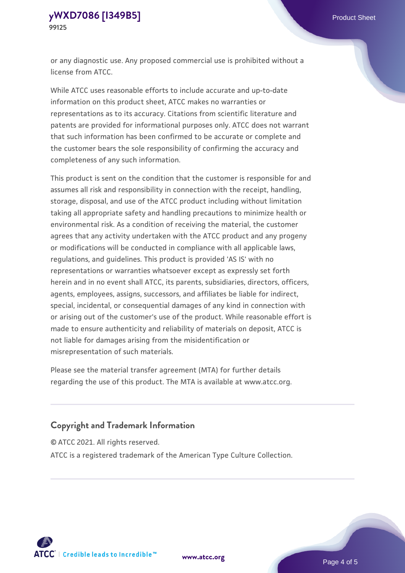or any diagnostic use. Any proposed commercial use is prohibited without a license from ATCC.

While ATCC uses reasonable efforts to include accurate and up-to-date information on this product sheet, ATCC makes no warranties or representations as to its accuracy. Citations from scientific literature and patents are provided for informational purposes only. ATCC does not warrant that such information has been confirmed to be accurate or complete and the customer bears the sole responsibility of confirming the accuracy and completeness of any such information.

This product is sent on the condition that the customer is responsible for and assumes all risk and responsibility in connection with the receipt, handling, storage, disposal, and use of the ATCC product including without limitation taking all appropriate safety and handling precautions to minimize health or environmental risk. As a condition of receiving the material, the customer agrees that any activity undertaken with the ATCC product and any progeny or modifications will be conducted in compliance with all applicable laws, regulations, and guidelines. This product is provided 'AS IS' with no representations or warranties whatsoever except as expressly set forth herein and in no event shall ATCC, its parents, subsidiaries, directors, officers, agents, employees, assigns, successors, and affiliates be liable for indirect, special, incidental, or consequential damages of any kind in connection with or arising out of the customer's use of the product. While reasonable effort is made to ensure authenticity and reliability of materials on deposit, ATCC is not liable for damages arising from the misidentification or misrepresentation of such materials.

Please see the material transfer agreement (MTA) for further details regarding the use of this product. The MTA is available at www.atcc.org.

## **Copyright and Trademark Information**

© ATCC 2021. All rights reserved.

ATCC is a registered trademark of the American Type Culture Collection.



**[www.atcc.org](http://www.atcc.org)**

Page 4 of 5